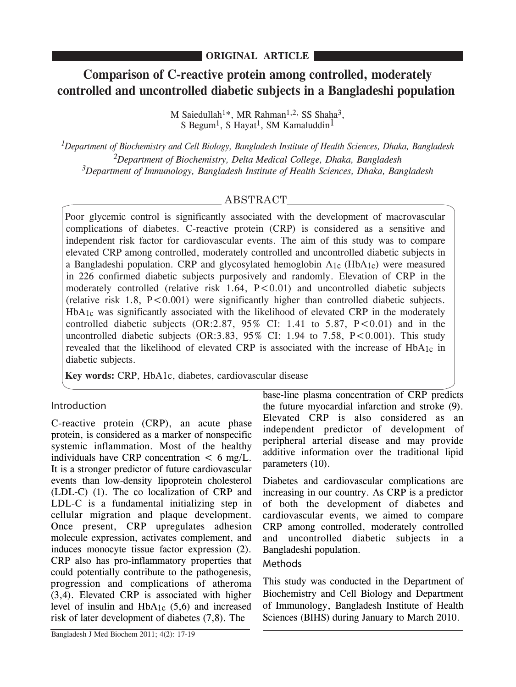# **Comparison of C-reactive protein among controlled, moderately controlled and uncontrolled diabetic subjects in a Bangladeshi population**

M Saiedullah<sup>1\*</sup>, MR Rahman<sup>1,2,</sup> SS Shaha<sup>3</sup>, S Begum<sup>1</sup>, S Hayat<sup>1</sup>, SM Kamaluddin<sup>1</sup>

*1 Department of Biochemistry and Cell Biology, Bangladesh Institute of Health Sciences, Dhaka, Bangladesh 2 Department of Biochemistry, Delta Medical College, Dhaka, Bangladesh 3 Department of Immunology, Bangladesh Institute of Health Sciences, Dhaka, Bangladesh*

# ABSTRACT

Poor glycemic control is significantly associated with the development of macrovascular complications of diabetes. C-reactive protein (CRP) is considered as a sensitive and independent risk factor for cardiovascular events. The aim of this study was to compare elevated CRP among controlled, moderately controlled and uncontrolled diabetic subjects in a Bangladeshi population. CRP and glycosylated hemoglobin  $A_{1c}$  (HbA<sub>1c</sub>) were measured in 226 confirmed diabetic subjects purposively and randomly. Elevation of CRP in the moderately controlled (relative risk  $1.64$ ,  $P < 0.01$ ) and uncontrolled diabetic subjects (relative risk  $1.8$ ,  $P \leq 0.001$ ) were significantly higher than controlled diabetic subjects.  $HbA_1c$  was significantly associated with the likelihood of elevated CRP in the moderately controlled diabetic subjects  $(OR:2.87, 95\% \text{ CI: } 1.41 \text{ to } 5.87, P < 0.01)$  and in the uncontrolled diabetic subjects  $(OR:3.83, 95\% \text{ CI: } 1.94 \text{ to } 7.58, P < 0.001)$ . This study revealed that the likelihood of elevated CRP is associated with the increase of  $HbA_{1c}$  in diabetic subjects.

**Key words:** CRP, HbA1c, diabetes, cardiovascular disease

# Introduction

C-reactive protein (CRP), an acute phase protein, is considered as a marker of nonspecific systemic inflammation. Most of the healthy individuals have CRP concentration  $\lt 6$  mg/L. It is a stronger predictor of future cardiovascular events than low-density lipoprotein cholesterol (LDL-C) (1). The co localization of CRP and LDL-C is a fundamental initializing step in cellular migration and plaque development. Once present, CRP upregulates adhesion molecule expression, activates complement, and induces monocyte tissue factor expression (2). CRP also has pro-inflammatory properties that could potentially contribute to the pathogenesis, progression and complications of atheroma (3,4). Elevated CRP is associated with higher level of insulin and HbA1c (5,6) and increased risk of later development of diabetes (7,8). The

base-line plasma concentration of CRP predicts the future myocardial infarction and stroke (9). Elevated CRP is also considered as an independent predictor of development of peripheral arterial disease and may provide additive information over the traditional lipid parameters (10).

Diabetes and cardiovascular complications are increasing in our country. As CRP is a predictor of both the development of diabetes and cardiovascular events, we aimed to compare CRP among controlled, moderately controlled and uncontrolled diabetic subjects in a Bangladeshi population.

## **Methods**

This study was conducted in the Department of Biochemistry and Cell Biology and Department of Immunology, Bangladesh Institute of Health Sciences (BIHS) during January to March 2010.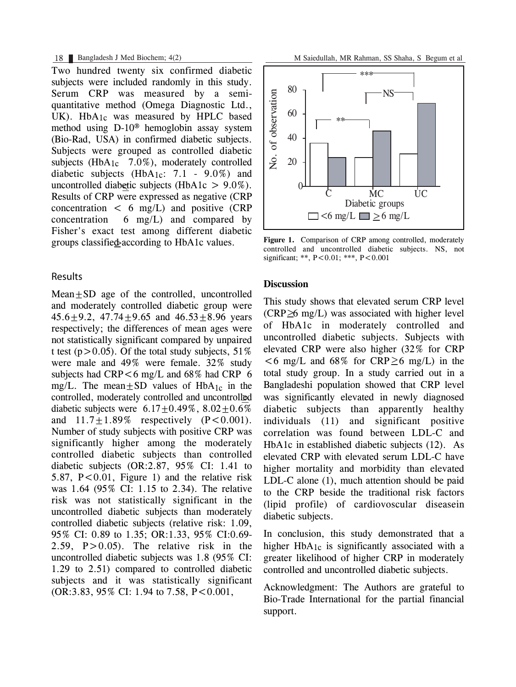Two hundred twenty six confirmed diabetic subjects were included randomly in this study. Serum CRP was measured by a semiquantitative method (Omega Diagnostic Ltd., UK). HbA<sub>1c</sub> was measured by HPLC based method using D-10® hemoglobin assay system (Bio-Rad, USA) in confirmed diabetic subjects. Subjects were grouped as controlled diabetic subjects ( $HbA_{1c}$  7.0%), moderately controlled diabetic subjects  $(HbA<sub>1c</sub>: 7.1 - 9.0%)$  and uncontrolled diabetic subjects (HbA1c  $> 9.0\%$ ). Results of CRP were expressed as negative (CRP concentration  $\lt$  6 mg/L) and positive (CRP concentration  $6 \text{ mg/L}$  and compared by Fisher's exact test among different diabetic groups classifie **s** according to HbA1c values.

### Results

Mean+SD age of the controlled, uncontrolled and moderately controlled diabetic group were  $45.6+9.2$ ,  $47.74+9.65$  and  $46.53+8.96$  years respectively; the differences of mean ages were not statistically significant compared by unpaired t test ( $p > 0.05$ ). Of the total study subjects, 51% were male and 49% were female. 32% study subjects had  $CRP < 6$  mg/L and  $68\%$  had  $CRP \neq 6$ mg/L. The mean $\pm$ SD values of HbA<sub>1c</sub> in the controlled, moderately controlled and uncontrolled diabetic subjects were  $6.17+0.49\%$ ,  $8.02+0.6\%$ and  $11.7+1.89\%$  respectively  $(P<0.001)$ . Number of study subjects with positive CRP was significantly higher among the moderately controlled diabetic subjects than controlled diabetic subjects (OR:2.87, 95% CI: 1.41 to 5.87,  $P < 0.01$ , Figure 1) and the relative risk was 1.64 (95% CI: 1.15 to 2.34). The relative risk was not statistically significant in the uncontrolled diabetic subjects than moderately controlled diabetic subjects (relative risk: 1.09, 95% CI: 0.89 to 1.35; OR:1.33, 95% CI:0.69- 2.59,  $P > 0.05$ . The relative risk in the uncontrolled diabetic subjects was 1.8 (95% CI: 1.29 to 2.51) compared to controlled diabetic subjects and it was statistically significant (OR:3.83, 95% CI: 1.94 to 7.58, P<0.001,



**Figure 1.** Comparison of CRP among controlled, moderately controlled and uncontrolled diabetic subjects. NS, not significant; \*\*, P<0.01; \*\*\*, P<0.001

### **Discussion**

This study shows that elevated serum CRP level  $(CRP \geq 6$  mg/L) was associated with higher level of HbA1c in moderately controlled and uncontrolled diabetic subjects. Subjects with elevated CRP were also higher (32% for CRP  $<$  6 mg/L and 68% for CRP  $\geq$  6 mg/L) in the total study group. In a study carried out in a Bangladeshi population showed that CRP level was significantly elevated in newly diagnosed diabetic subjects than apparently healthy individuals (11) and significant positive correlation was found between LDL-C and HbA1c in established diabetic subjects (12). As elevated CRP with elevated serum LDL-C have higher mortality and morbidity than elevated LDL-C alone (1), much attention should be paid to the CRP beside the traditional risk factors (lipid profile) of cardiovoscular diseasein diabetic subjects.

In conclusion, this study demonstrated that a higher HbA1c is significantly associated with a greater likelihood of higher CRP in moderately controlled and uncontrolled diabetic subjects.

Acknowledgment: The Authors are grateful to Bio-Trade International for the partial financial support.